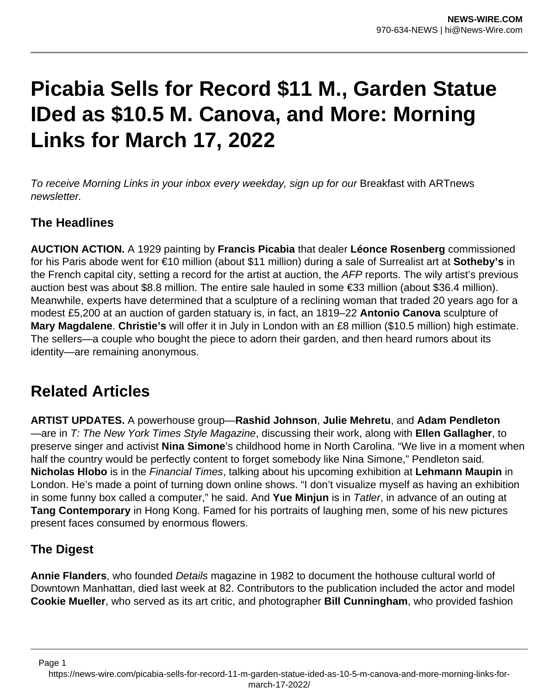# **Picabia Sells for Record \$11 M., Garden Statue IDed as \$10.5 M. Canova, and More: Morning Links for March 17, 2022**

To receive Morning Links in your inbox every weekday, sign up for our Breakfast with ARTnews newsletter.

## **The Headlines**

**AUCTION ACTION.** A 1929 painting by **Francis Picabia** that dealer **Léonce Rosenberg** commissioned for his Paris abode went for €10 million (about \$11 million) during a sale of Surrealist art at **Sotheby's** in the French capital city, setting a record for the artist at auction, the AFP reports. The wily artist's previous auction best was about \$8.8 million. The entire sale hauled in some €33 million (about \$36.4 million). Meanwhile, experts have determined that a sculpture of a reclining woman that traded 20 years ago for a modest £5,200 at an auction of garden statuary is, in fact, an 1819–22 **Antonio Canova** sculpture of **Mary Magdalene**. **Christie's** will offer it in July in London with an £8 million (\$10.5 million) high estimate. The sellers—a couple who bought the piece to adorn their garden, and then heard rumors about its identity—are remaining anonymous.

# **Related Articles**

**ARTIST UPDATES.** A powerhouse group—**Rashid Johnson**, **Julie Mehretu**, and **Adam Pendleton** —are in T: The New York Times Style Magazine, discussing their work, along with **Ellen Gallagher**, to preserve singer and activist **Nina Simone**'s childhood home in North Carolina. "We live in a moment when half the country would be perfectly content to forget somebody like Nina Simone," Pendleton said. **Nicholas Hlobo** is in the Financial Times, talking about his upcoming exhibition at **Lehmann Maupin** in London. He's made a point of turning down online shows. "I don't visualize myself as having an exhibition in some funny box called a computer," he said. And **Yue Minjun** is in Tatler, in advance of an outing at **Tang Contemporary** in Hong Kong. Famed for his portraits of laughing men, some of his new pictures present faces consumed by enormous flowers.

### **The Digest**

Page 1

**Annie Flanders**, who founded Details magazine in 1982 to document the hothouse cultural world of Downtown Manhattan, died last week at 82. Contributors to the publication included the actor and model **Cookie Mueller**, who served as its art critic, and photographer **Bill Cunningham**, who provided fashion

https://news-wire.com/picabia-sells-for-record-11-m-garden-statue-ided-as-10-5-m-canova-and-more-morning-links-formarch-17-2022/